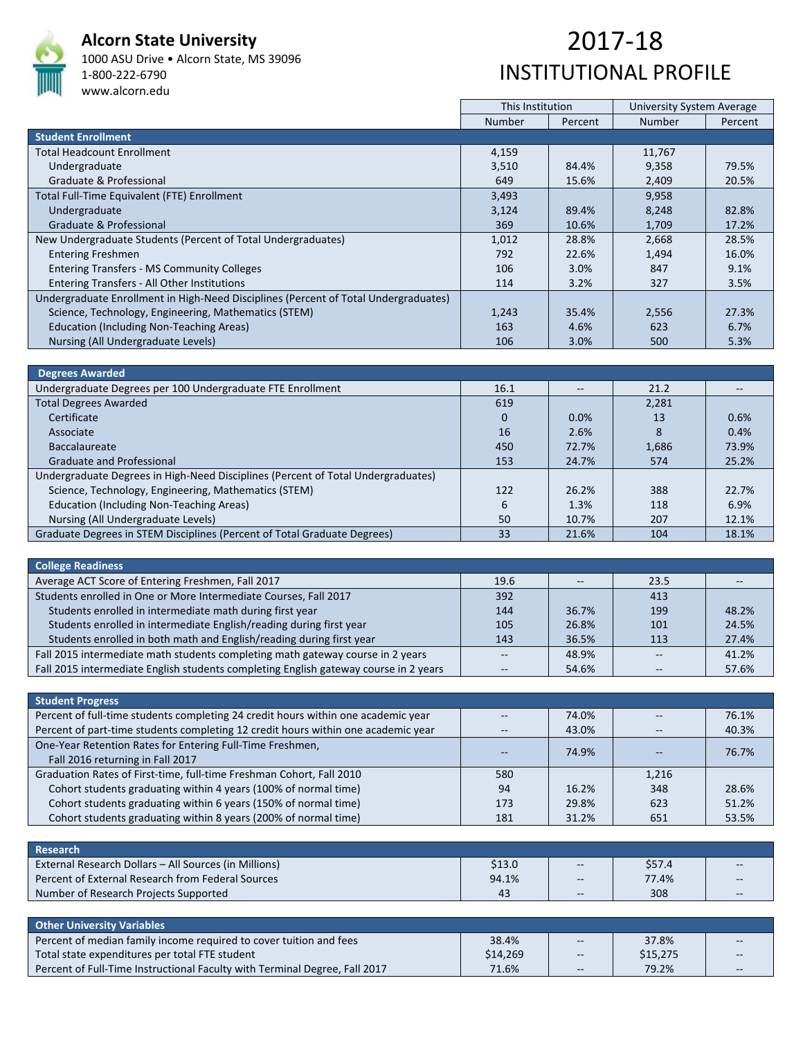

## **Alcorn State University**

1000 ASU Drive • Alcorn State, MS 39096 1‐800‐222‐6790 www.alcorn.edu

## 2017‐18 INSTITUTIONAL PROFILE

|                                                                                     | This Institution |         | <b>University System Average</b> |         |
|-------------------------------------------------------------------------------------|------------------|---------|----------------------------------|---------|
|                                                                                     | <b>Number</b>    | Percent | <b>Number</b>                    | Percent |
| <b>Student Enrollment</b>                                                           |                  |         |                                  |         |
| <b>Total Headcount Enrollment</b>                                                   | 4,159            |         | 11,767                           |         |
| Undergraduate                                                                       | 3,510            | 84.4%   | 9,358                            | 79.5%   |
| Graduate & Professional                                                             | 649              | 15.6%   | 2,409                            | 20.5%   |
| Total Full-Time Equivalent (FTE) Enrollment                                         | 3,493            |         | 9,958                            |         |
| Undergraduate                                                                       | 3,124            | 89.4%   | 8,248                            | 82.8%   |
| Graduate & Professional                                                             | 369              | 10.6%   | 1,709                            | 17.2%   |
| New Undergraduate Students (Percent of Total Undergraduates)                        | 1,012            | 28.8%   | 2,668                            | 28.5%   |
| <b>Entering Freshmen</b>                                                            | 792              | 22.6%   | 1,494                            | 16.0%   |
| <b>Entering Transfers - MS Community Colleges</b>                                   | 106              | 3.0%    | 847                              | 9.1%    |
| Entering Transfers - All Other Institutions                                         | 114              | 3.2%    | 327                              | 3.5%    |
| Undergraduate Enrollment in High-Need Disciplines (Percent of Total Undergraduates) |                  |         |                                  |         |
| Science, Technology, Engineering, Mathematics (STEM)                                | 1,243            | 35.4%   | 2,556                            | 27.3%   |
| Education (Including Non-Teaching Areas)                                            | 163              | 4.6%    | 623                              | 6.7%    |
| Nursing (All Undergraduate Levels)                                                  | 106              | 3.0%    | 500                              | 5.3%    |

| <b>Degrees Awarded</b>                                                           |          |       |       |       |
|----------------------------------------------------------------------------------|----------|-------|-------|-------|
| Undergraduate Degrees per 100 Undergraduate FTE Enrollment                       | 16.1     |       | 21.2  |       |
| <b>Total Degrees Awarded</b>                                                     | 619      |       | 2,281 |       |
| Certificate                                                                      | $\Omega$ | 0.0%  | 13    | 0.6%  |
| Associate                                                                        | 16       | 2.6%  | Ճ     | 0.4%  |
| <b>Baccalaureate</b>                                                             | 450      | 72.7% | 1,686 | 73.9% |
| <b>Graduate and Professional</b>                                                 | 153      | 24.7% | 574   | 25.2% |
| Undergraduate Degrees in High-Need Disciplines (Percent of Total Undergraduates) |          |       |       |       |
| Science, Technology, Engineering, Mathematics (STEM)                             | 122      | 26.2% | 388   | 22.7% |
| Education (Including Non-Teaching Areas)                                         | 6        | 1.3%  | 118   | 6.9%  |
| Nursing (All Undergraduate Levels)                                               | 50       | 10.7% | 207   | 12.1% |
| Graduate Degrees in STEM Disciplines (Percent of Total Graduate Degrees)         | 33       | 21.6% | 104   | 18.1% |

| <b>College Readiness</b>                                                             |      |                   |      |       |
|--------------------------------------------------------------------------------------|------|-------------------|------|-------|
| Average ACT Score of Entering Freshmen, Fall 2017                                    | 19.6 | $\qquad \qquad -$ | 23.5 |       |
| Students enrolled in One or More Intermediate Courses, Fall 2017                     | 392  |                   | 413  |       |
| Students enrolled in intermediate math during first year                             | 144  | 36.7%             | 199  | 48.2% |
| Students enrolled in intermediate English/reading during first year                  | 105  | 26.8%             | 101  | 24.5% |
| Students enrolled in both math and English/reading during first year                 | 143  | 36.5%             | 113  | 27.4% |
| Fall 2015 intermediate math students completing math gateway course in 2 years       |      | 48.9%             |      | 41.2% |
| Fall 2015 intermediate English students completing English gateway course in 2 years |      | 54.6%             |      | 57.6% |

| <b>Student Progress</b>                                                           |     |       |       |       |
|-----------------------------------------------------------------------------------|-----|-------|-------|-------|
| Percent of full-time students completing 24 credit hours within one academic year |     | 74.0% |       | 76.1% |
| Percent of part-time students completing 12 credit hours within one academic year |     | 43.0% |       | 40.3% |
| One-Year Retention Rates for Entering Full-Time Freshmen,                         |     | 74.9% |       | 76.7% |
| Fall 2016 returning in Fall 2017                                                  |     |       |       |       |
| Graduation Rates of First-time, full-time Freshman Cohort, Fall 2010              | 580 |       | 1,216 |       |
| Cohort students graduating within 4 years (100% of normal time)                   | 94  | 16.2% | 348   | 28.6% |
| Cohort students graduating within 6 years (150% of normal time)                   | 173 | 29.8% | 623   | 51.2% |
| Cohort students graduating within 8 years (200% of normal time)                   | 181 | 31.2% | 651   | 53.5% |

| Research                                              |        |       |        |       |
|-------------------------------------------------------|--------|-------|--------|-------|
| External Research Dollars – All Sources (in Millions) | \$13.0 | $-$   | \$57.4 | $- -$ |
| Percent of External Research from Federal Sources     | 94.1%  | $- -$ | 77.4%  | $-$   |
| Number of Research Projects Supported                 | 43     | $- -$ | 308    | $- -$ |

| Other University Variables                                                 |          |            |          |       |
|----------------------------------------------------------------------------|----------|------------|----------|-------|
| Percent of median family income required to cover tuition and fees         | 38.4%    | $--$       | 37.8%    | $- -$ |
| Total state expenditures per total FTE student                             | \$14,269 | $\sim$ $-$ | \$15,275 | $--$  |
| Percent of Full-Time Instructional Faculty with Terminal Degree, Fall 2017 | 71.6%    | $-$        | 79.2%    | $--$  |